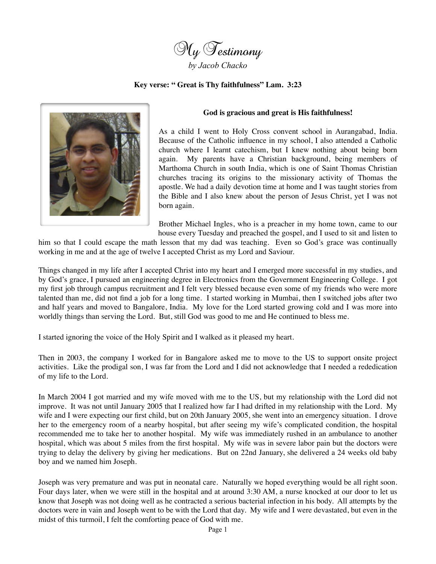

## **Key verse: " Great is Thy faithfulness" Lam. 3:23**



## **God is gracious and great is His faithfulness!**

As a child I went to Holy Cross convent school in Aurangabad, India. Because of the Catholic influence in my school, I also attended a Catholic church where I learnt catechism, but I knew nothing about being born again. My parents have a Christian background, being members of Marthoma Church in south India, which is one of Saint Thomas Christian churches tracing its origins to the missionary activity of Thomas the apostle. We had a daily devotion time at home and I was taught stories from the Bible and I also knew about the person of Jesus Christ, yet I was not born again.

Brother Michael Ingles, who is a preacher in my home town, came to our house every Tuesday and preached the gospel, and I used to sit and listen to

him so that I could escape the math lesson that my dad was teaching. Even so God's grace was continually working in me and at the age of twelve I accepted Christ as my Lord and Saviour.

Things changed in my life after I accepted Christ into my heart and I emerged more successful in my studies, and by God's grace, I pursued an engineering degree in Electronics from the Government Engineering College. I got my first job through campus recruitment and I felt very blessed because even some of my friends who were more talented than me, did not find a job for a long time. I started working in Mumbai, then I switched jobs after two and half years and moved to Bangalore, India. My love for the Lord started growing cold and I was more into worldly things than serving the Lord. But, still God was good to me and He continued to bless me.

I started ignoring the voice of the Holy Spirit and I walked as it pleased my heart.

Then in 2003, the company I worked for in Bangalore asked me to move to the US to support onsite project activities. Like the prodigal son, I was far from the Lord and I did not acknowledge that I needed a rededication of my life to the Lord.

In March 2004 I got married and my wife moved with me to the US, but my relationship with the Lord did not improve. It was not until January 2005 that I realized how far I had drifted in my relationship with the Lord. My wife and I were expecting our first child, but on 20th January 2005, she went into an emergency situation. I drove her to the emergency room of a nearby hospital, but after seeing my wife's complicated condition, the hospital recommended me to take her to another hospital. My wife was immediately rushed in an ambulance to another hospital, which was about 5 miles from the first hospital. My wife was in severe labor pain but the doctors were trying to delay the delivery by giving her medications. But on 22nd January, she delivered a 24 weeks old baby boy and we named him Joseph.

Joseph was very premature and was put in neonatal care. Naturally we hoped everything would be all right soon. Four days later, when we were still in the hospital and at around 3:30 AM, a nurse knocked at our door to let us know that Joseph was not doing well as he contracted a serious bacterial infection in his body. All attempts by the doctors were in vain and Joseph went to be with the Lord that day. My wife and I were devastated, but even in the midst of this turmoil, I felt the comforting peace of God with me.